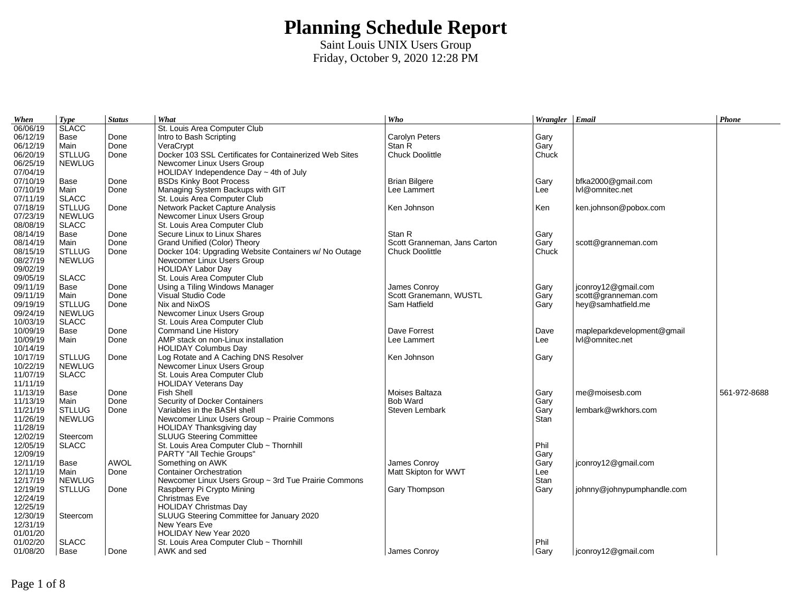| When     | <b>Type</b>   | <b>Status</b> | What                                                    | Who                          | Wrangler $ $ Email |                            | Phone        |
|----------|---------------|---------------|---------------------------------------------------------|------------------------------|--------------------|----------------------------|--------------|
| 06/06/19 | <b>SLACC</b>  |               | St. Louis Area Computer Club                            |                              |                    |                            |              |
| 06/12/19 | Base          | Done          | Intro to Bash Scripting                                 | Carolyn Peters               | Gary               |                            |              |
| 06/12/19 | Main          | Done          | VeraCrypt                                               | Stan R                       | Gary               |                            |              |
| 06/20/19 | <b>STLLUG</b> | Done          | Docker 103 SSL Certificates for Containerized Web Sites | Chuck Doolittle              | Chuck              |                            |              |
| 06/25/19 | <b>NEWLUG</b> |               | Newcomer Linux Users Group                              |                              |                    |                            |              |
| 07/04/19 |               |               | HOLIDAY Independence Day $\sim$ 4th of July             |                              |                    |                            |              |
| 07/10/19 | Base          | Done          | <b>BSDs Kinky Boot Process</b>                          | <b>Brian Bilgere</b>         | Gary               | bfka2000@gmail.com         |              |
| 07/10/19 | Main          | Done          | Managing System Backups with GIT                        | Lee Lammert                  | Lee                | lvl@omnitec.net            |              |
| 07/11/19 | <b>SLACC</b>  |               | St. Louis Area Computer Club                            |                              |                    |                            |              |
| 07/18/19 | <b>STLLUG</b> | Done          | Network Packet Capture Analysis                         | Ken Johnson                  | Ken                | ken.johnson@pobox.com      |              |
| 07/23/19 | <b>NEWLUG</b> |               | Newcomer Linux Users Group                              |                              |                    |                            |              |
| 08/08/19 | <b>SLACC</b>  |               | St. Louis Area Computer Club                            |                              |                    |                            |              |
| 08/14/19 | Base          | Done          | Secure Linux to Linux Shares                            | Stan R                       | Gary               |                            |              |
| 08/14/19 | Main          | Done          | Grand Unified (Color) Theory                            | Scott Granneman, Jans Carton | Gary               | scott@granneman.com        |              |
| 08/15/19 | <b>STLLUG</b> | Done          | Docker 104: Upgrading Website Containers w/ No Outage   | Chuck Doolittle              | Chuck              |                            |              |
| 08/27/19 | <b>NEWLUG</b> |               | Newcomer Linux Users Group                              |                              |                    |                            |              |
| 09/02/19 |               |               | <b>HOLIDAY Labor Day</b>                                |                              |                    |                            |              |
| 09/05/19 | <b>SLACC</b>  |               | St. Louis Area Computer Club                            |                              |                    |                            |              |
| 09/11/19 | Base          | Done          | Using a Tiling Windows Manager                          | James Conroy                 | Gary               | jconroy12@gmail.com        |              |
| 09/11/19 | Main          | Done          | Visual Studio Code                                      | Scott Granemann, WUSTL       | Gary               | scott@granneman.com        |              |
| 09/19/19 | <b>STLLUG</b> | Done          | Nix and NixOS                                           | Sam Hatfield                 | Gary               | hey@samhatfield.me         |              |
| 09/24/19 | <b>NEWLUG</b> |               | Newcomer Linux Users Group                              |                              |                    |                            |              |
| 10/03/19 | <b>SLACC</b>  |               | St. Louis Area Computer Club                            |                              |                    |                            |              |
| 10/09/19 | Base          | Done          | <b>Command Line History</b>                             | Dave Forrest                 | Dave               | mapleparkdevelopment@gmail |              |
| 10/09/19 | Main          | Done          | AMP stack on non-Linux installation                     | Lee Lammert                  | Lee                | lvl@omnitec.net            |              |
| 10/14/19 |               |               | <b>HOLIDAY Columbus Day</b>                             |                              |                    |                            |              |
| 10/17/19 | <b>STLLUG</b> | Done          | Log Rotate and A Caching DNS Resolver                   | Ken Johnson                  | Gary               |                            |              |
| 10/22/19 | <b>NEWLUG</b> |               | Newcomer Linux Users Group                              |                              |                    |                            |              |
| 11/07/19 | <b>SLACC</b>  |               | St. Louis Area Computer Club                            |                              |                    |                            |              |
| 11/11/19 |               |               | <b>HOLIDAY Veterans Day</b>                             |                              |                    |                            |              |
| 11/13/19 | Base          | Done          | Fish Shell                                              | Moises Baltaza               | Gary               | me@moisesb.com             | 561-972-8688 |
| 11/13/19 | Main          | Done          | Security of Docker Containers                           | <b>Bob Ward</b>              | Gary               |                            |              |
| 11/21/19 | <b>STLLUG</b> | Done          | Variables in the BASH shell                             | Steven Lembark               | Gary               | lembark@wrkhors.com        |              |
| 11/26/19 | <b>NEWLUG</b> |               | Newcomer Linux Users Group ~ Prairie Commons            |                              | <b>Stan</b>        |                            |              |
| 11/28/19 |               |               | HOLIDAY Thanksgiving day                                |                              |                    |                            |              |
| 12/02/19 | Steercom      |               | <b>SLUUG Steering Committee</b>                         |                              |                    |                            |              |
| 12/05/19 | <b>SLACC</b>  |               | St. Louis Area Computer Club ~ Thornhill                |                              | Phil               |                            |              |
| 12/09/19 |               |               | PARTY "All Techie Groups"                               |                              | Gary               |                            |              |
| 12/11/19 | Base          | AWOL          | Something on AWK                                        | James Conroy                 | Gary               | jconroy12@gmail.com        |              |
| 12/11/19 | Main          | Done          | <b>Container Orchestration</b>                          | Matt Skipton for WWT         | Lee                |                            |              |
| 12/17/19 | <b>NEWLUG</b> |               | Newcomer Linux Users Group ~ 3rd Tue Prairie Commons    |                              | Stan               |                            |              |
| 12/19/19 | <b>STLLUG</b> | Done          | Raspberry Pi Crypto Mining                              | Gary Thompson                | Gary               | johnny@johnypumphandle.com |              |
| 12/24/19 |               |               | Christmas Eve                                           |                              |                    |                            |              |
| 12/25/19 |               |               | <b>HOLIDAY Christmas Day</b>                            |                              |                    |                            |              |
| 12/30/19 | Steercom      |               | SLUUG Steering Committee for January 2020               |                              |                    |                            |              |
| 12/31/19 |               |               | New Years Eve                                           |                              |                    |                            |              |
| 01/01/20 |               |               | HOLIDAY New Year 2020                                   |                              |                    |                            |              |
| 01/02/20 | <b>SLACC</b>  |               | St. Louis Area Computer Club ~ Thornhill                |                              | Phil               |                            |              |
| 01/08/20 | Base          | Done          | AWK and sed                                             | James Conroy                 | Gary               | jconroy12@gmail.com        |              |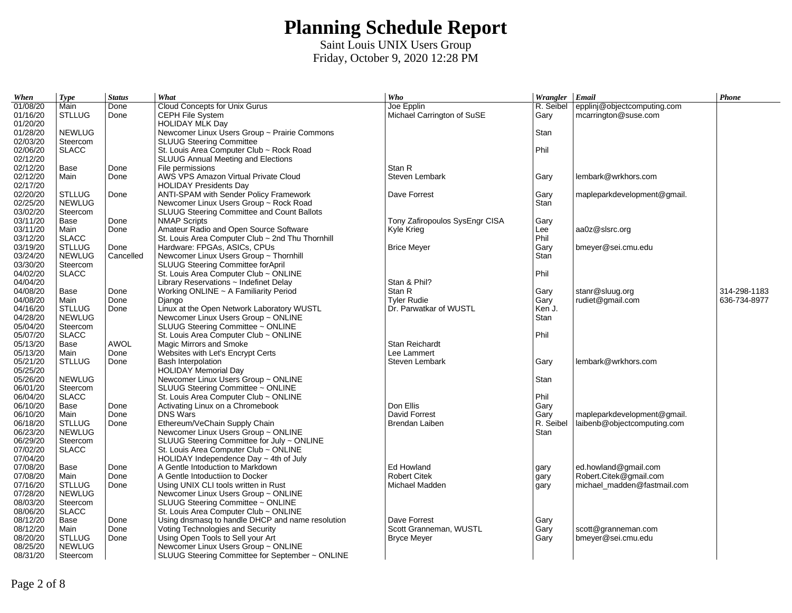| When     | <b>Type</b>                   | <b>Status</b> | What                                             | Who                            | Wrangler Email |                             | Phone        |
|----------|-------------------------------|---------------|--------------------------------------------------|--------------------------------|----------------|-----------------------------|--------------|
| 01/08/20 | Main                          | Done          | Cloud Concepts for Unix Gurus                    | Joe Epplin                     | R. Seibel      | epplinj@objectcomputing.com |              |
| 01/16/20 | <b>STLLUG</b>                 | Done          | CEPH File System                                 | Michael Carrington of SuSE     | Gary           | mcarrington@suse.com        |              |
| 01/20/20 |                               |               | <b>HOLIDAY MLK Day</b>                           |                                |                |                             |              |
| 01/28/20 | <b>NEWLUG</b>                 |               | Newcomer Linux Users Group ~ Prairie Commons     |                                | Stan           |                             |              |
| 02/03/20 | Steercom                      |               | <b>SLUUG Steering Committee</b>                  |                                |                |                             |              |
| 02/06/20 | <b>SLACC</b>                  |               | St. Louis Area Computer Club ~ Rock Road         |                                | Phil           |                             |              |
| 02/12/20 |                               |               | SLUUG Annual Meeting and Elections               |                                |                |                             |              |
| 02/12/20 | Base                          | Done          | File permissions                                 | Stan R                         |                |                             |              |
| 02/12/20 | Main                          | Done          | AWS VPS Amazon Virtual Private Cloud             | Steven Lembark                 | Gary           | lembark@wrkhors.com         |              |
| 02/17/20 |                               |               | <b>HOLIDAY Presidents Day</b>                    |                                |                |                             |              |
| 02/20/20 | <b>STLLUG</b>                 | Done          | ANTI-SPAM with Sender Policy Framework           | Dave Forrest                   | Gary           | mapleparkdevelopment@gmail. |              |
| 02/25/20 | <b>NEWLUG</b>                 |               | Newcomer Linux Users Group ~ Rock Road           |                                | Stan           |                             |              |
| 03/02/20 | Steercom                      |               | SLUUG Steering Committee and Count Ballots       |                                |                |                             |              |
| 03/11/20 | Base                          | Done          | <b>NMAP Scripts</b>                              | Tony Zafiropoulos SysEngr CISA | Gary           |                             |              |
| 03/11/20 | Main                          | Done          | Amateur Radio and Open Source Software           | Kyle Krieg                     | Lee            | aa0z@slsrc.org              |              |
| 03/12/20 | <b>SLACC</b>                  |               | St. Louis Area Computer Club ~ 2nd Thu Thornhill |                                | Phil           |                             |              |
| 03/19/20 | <b>STLLUG</b>                 | Done          | Hardware: FPGAs, ASICs, CPUs                     | <b>Brice Meyer</b>             | Gary           | bmeyer@sei.cmu.edu          |              |
| 03/24/20 | <b>NEWLUG</b>                 | Cancelled     | Newcomer Linux Users Group ~ Thornhill           |                                | Stan           |                             |              |
| 03/30/20 | Steercom                      |               | <b>SLUUG Steering Committee for April</b>        |                                |                |                             |              |
| 04/02/20 | $\ensuremath{\mathsf{SLACC}}$ |               | St. Louis Area Computer Club ~ ONLINE            |                                | Phil           |                             |              |
| 04/04/20 |                               |               | Library Reservations $\sim$ Indefinet Delay      | Stan & Phil?                   |                |                             |              |
| 04/08/20 | Base                          | Done          | Working ONLINE ~ A Familiarity Period            | Stan R                         | Gary           | stanr@sluug.org             | 314-298-1183 |
| 04/08/20 | Main                          | Done          | Django                                           | <b>Tyler Rudie</b>             | Gary           | rudiet@gmail.com            | 636-734-8977 |
| 04/16/20 | <b>STLLUG</b>                 | Done          | Linux at the Open Network Laboratory WUSTL       | Dr. Parwatkar of WUSTL         | Ken J.         |                             |              |
| 04/28/20 | <b>NEWLUG</b>                 |               | Newcomer Linux Users Group ~ ONLINE              |                                | Stan           |                             |              |
| 05/04/20 | Steercom                      |               | SLUUG Steering Committee ~ ONLINE                |                                |                |                             |              |
| 05/07/20 | <b>SLACC</b>                  |               | St. Louis Area Computer Club ~ ONLINE            |                                | Phil           |                             |              |
| 05/13/20 | Base                          | <b>AWOL</b>   | Magic Mirrors and Smoke                          | <b>Stan Reichardt</b>          |                |                             |              |
| 05/13/20 | Main                          | Done          | Websites with Let's Encrypt Certs                | Lee Lammert                    |                |                             |              |
| 05/21/20 | <b>STLLUG</b>                 | Done          | <b>Bash Interpolation</b>                        | Steven Lembark                 | Gary           | lembark@wrkhors.com         |              |
| 05/25/20 |                               |               | <b>HOLIDAY Memorial Day</b>                      |                                |                |                             |              |
| 05/26/20 | <b>NEWLUG</b>                 |               | Newcomer Linux Users Group ~ ONLINE              |                                | <b>Stan</b>    |                             |              |
| 06/01/20 | Steercom                      |               | SLUUG Steering Committee ~ ONLINE                |                                |                |                             |              |
| 06/04/20 | <b>SLACC</b>                  |               | St. Louis Area Computer Club ~ ONLINE            |                                | Phil           |                             |              |
| 06/10/20 | Base                          | Done          | Activating Linux on a Chromebook                 | Don Ellis                      | Gary           |                             |              |
| 06/10/20 | Main                          | Done          | <b>DNS Wars</b>                                  | David Forrest                  | Gary           | mapleparkdevelopment@gmail. |              |
| 06/18/20 | <b>STLLUG</b>                 | Done          | Ethereum/VeChain Supply Chain                    | Brendan Laiben                 | R. Seibel      | laibenb@objectcomputing.com |              |
| 06/23/20 | <b>NEWLUG</b>                 |               | Newcomer Linux Users Group ~ ONLINE              |                                | Stan           |                             |              |
| 06/29/20 | Steercom                      |               | SLUUG Steering Committee for July ~ ONLINE       |                                |                |                             |              |
| 07/02/20 | <b>SLACC</b>                  |               | St. Louis Area Computer Club ~ ONLINE            |                                |                |                             |              |
| 07/04/20 |                               |               | HOLIDAY Independence Day $\sim$ 4th of July      |                                |                |                             |              |
| 07/08/20 | Base                          | Done          | A Gentle Intoduction to Markdown                 | Ed Howland                     | gary           | ed.howland@gmail.com        |              |
| 07/08/20 | Main                          | Done          | A Gentle Intoductiion to Docker                  | <b>Robert Citek</b>            | gary           | Robert.Citek@gmail.com      |              |
| 07/16/20 | <b>STLLUG</b>                 | Done          | Using UNIX CLI tools written in Rust             | Michael Madden                 | gary           | michael madden@fastmail.com |              |
| 07/28/20 | <b>NEWLUG</b>                 |               | Newcomer Linux Users Group ~ ONLINE              |                                |                |                             |              |
| 08/03/20 | Steercom                      |               | SLUUG Steering Committee ~ ONLINE                |                                |                |                             |              |
| 08/06/20 | <b>SLACC</b>                  |               | St. Louis Area Computer Club ~ ONLINE            |                                |                |                             |              |
| 08/12/20 | Base                          | Done          | Using dnsmasg to handle DHCP and name resolution | Dave Forrest                   | Gary           |                             |              |
| 08/12/20 | Main                          | Done          | Voting Technologies and Security                 | Scott Granneman, WUSTL         | Gary           | scott@granneman.com         |              |
| 08/20/20 | <b>STLLUG</b>                 | Done          | Using Open Tools to Sell your Art                | <b>Bryce Meyer</b>             | Gary           | bmeyer@sei.cmu.edu          |              |
| 08/25/20 | <b>NEWLUG</b>                 |               | Newcomer Linux Users Group ~ ONLINE              |                                |                |                             |              |
| 08/31/20 | Steercom                      |               | SLUUG Steering Committee for September ~ ONLINE  |                                |                |                             |              |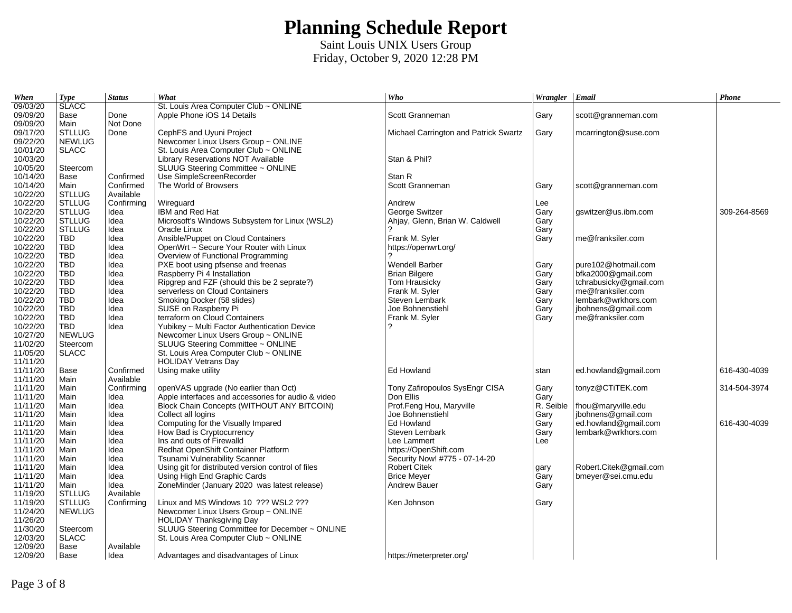| When     | <b>Type</b>   | <b>Status</b> | What                                               | Who                                   | Wrangler   Email |                        | Phone        |
|----------|---------------|---------------|----------------------------------------------------|---------------------------------------|------------------|------------------------|--------------|
| 09/03/20 | <b>SLACC</b>  |               | St. Louis Area Computer Club ~ ONLINE              |                                       |                  |                        |              |
| 09/09/20 | Base          | Done          | Apple Phone iOS 14 Details                         | Scott Granneman                       | Gary             | scott@granneman.com    |              |
| 09/09/20 | Main          | Not Done      |                                                    |                                       |                  |                        |              |
| 09/17/20 | <b>STLLUG</b> | Done          | CephFS and Uyuni Project                           | Michael Carrington and Patrick Swartz | Gary             | mcarrington@suse.com   |              |
| 09/22/20 | <b>NEWLUG</b> |               | Newcomer Linux Users Group ~ ONLINE                |                                       |                  |                        |              |
| 10/01/20 | <b>SLACC</b>  |               | St. Louis Area Computer Club ~ ONLINE              |                                       |                  |                        |              |
| 10/03/20 |               |               | <b>Library Reservations NOT Available</b>          | Stan & Phil?                          |                  |                        |              |
| 10/05/20 | Steercom      |               | SLUUG Steering Committee ~ ONLINE                  |                                       |                  |                        |              |
| 10/14/20 | Base          | Confirmed     | Use SimpleScreenRecorder                           | Stan R                                |                  |                        |              |
| 10/14/20 | Main          | Confirmed     | The World of Browsers                              | Scott Granneman                       | Garv             | scott@granneman.com    |              |
| 10/22/20 | <b>STLLUG</b> | Available     |                                                    |                                       |                  |                        |              |
| 10/22/20 | <b>STLLUG</b> | Confirming    | Wirequard                                          | Andrew                                | Lee              |                        |              |
| 10/22/20 | <b>STLLUG</b> | Idea          | IBM and Red Hat                                    | George Switzer                        | Gary             | qswitzer@us.ibm.com    | 309-264-8569 |
| 10/22/20 | <b>STLLUG</b> | Idea          | Microsoft's Windows Subsystem for Linux (WSL2)     | Ahjay, Glenn, Brian W. Caldwell       | Gary             |                        |              |
| 10/22/20 | <b>STLLUG</b> | Idea          | Oracle Linux                                       | っ                                     | Gary             |                        |              |
| 10/22/20 | <b>TBD</b>    | Idea          | Ansible/Puppet on Cloud Containers                 | Frank M. Syler                        | Gary             | me@franksiler.com      |              |
| 10/22/20 | <b>TBD</b>    | Idea          | OpenWrt ~ Secure Your Router with Linux            | https://openwrt.org/                  |                  |                        |              |
| 10/22/20 | <b>TBD</b>    | Idea          | Overview of Functional Programming                 | 2                                     |                  |                        |              |
| 10/22/20 | <b>TBD</b>    | Idea          | PXE boot using pfsense and freenas                 | <b>Wendell Barber</b>                 | Gary             | pure102@hotmail.com    |              |
| 10/22/20 | <b>TBD</b>    | Idea          | Raspberry Pi 4 Installation                        | <b>Brian Bilgere</b>                  | Gary             | bfka2000@gmail.com     |              |
| 10/22/20 | <b>TBD</b>    | Idea          | Ripgrep and FZF (should this be 2 seprate?)        | Tom Hrausicky                         | Gary             | tchrabusicky@gmail.com |              |
| 10/22/20 | <b>TBD</b>    | Idea          | serverless on Cloud Containers                     | Frank M. Syler                        | Gary             | me@franksiler.com      |              |
| 10/22/20 | <b>TBD</b>    | Idea          | Smoking Docker (58 slides)                         | Steven Lembark                        | Gary             | lembark@wrkhors.com    |              |
| 10/22/20 | <b>TBD</b>    | Idea          | SUSE on Raspberry Pi                               | Joe Bohnenstiehl                      | Gary             | jbohnens@gmail.com     |              |
| 10/22/20 | <b>TBD</b>    | Idea          | terraform on Cloud Containers                      | Frank M. Syler                        | Gary             | me@franksiler.com      |              |
| 10/22/20 | <b>TBD</b>    | Idea          | Yubikey ~ Multi Factor Authentication Device       | 2                                     |                  |                        |              |
| 10/27/20 | <b>NEWLUG</b> |               | Newcomer Linux Users Group ~ ONLINE                |                                       |                  |                        |              |
| 11/02/20 | Steercom      |               | SLUUG Steering Committee ~ ONLINE                  |                                       |                  |                        |              |
| 11/05/20 | <b>SLACC</b>  |               | St. Louis Area Computer Club ~ ONLINE              |                                       |                  |                        |              |
| 11/11/20 |               |               | <b>HOLIDAY Vetrans Day</b>                         |                                       |                  |                        |              |
| 11/11/20 | Base          | Confirmed     | Using make utility                                 | Ed Howland                            | stan             | ed.howland@gmail.com   | 616-430-4039 |
| 11/11/20 | Main          | Available     |                                                    |                                       |                  |                        |              |
| 11/11/20 | Main          | Confirming    | openVAS upgrade (No earlier than Oct)              | Tony Zafiropoulos SysEngr CISA        | Gary             | tonyz@CTiTEK.com       | 314-504-3974 |
| 11/11/20 | Main          | Idea          | Apple interfaces and accessories for audio & video | Don Ellis                             | Gary             |                        |              |
| 11/11/20 | Main          | Idea          | Block Chain Concepts (WITHOUT ANY BITCOIN)         | Prof.Feng Hou, Maryville              | R. Seible        | fhou@maryville.edu     |              |
| 11/11/20 | Main          | Idea          | Collect all logins                                 | Joe Bohnenstiehl                      | Gary             | jbohnens@gmail.com     |              |
| 11/11/20 | Main          | Idea          | Computing for the Visually Impared                 | Ed Howland                            | Gary             | ed.howland@gmail.com   | 616-430-4039 |
| 11/11/20 | Main          | Idea          | How Bad is Cryptocurrency                          | Steven Lembark                        | Gary             | lembark@wrkhors.com    |              |
| 11/11/20 | Main          | Idea          | Ins and outs of Firewalld                          | Lee Lammert                           | Lee              |                        |              |
| 11/11/20 | Main          | Idea          | Redhat OpenShift Container Platform                | https://OpenShift.com                 |                  |                        |              |
| 11/11/20 | Main          | Idea          | Tsunami Vulnerability Scanner                      | Security Now! #775 - 07-14-20         |                  |                        |              |
| 11/11/20 | Main          | Idea          | Using git for distributed version control of files | <b>Robert Citek</b>                   | gary             | Robert.Citek@gmail.com |              |
| 11/11/20 | Main          | Idea          | Using High End Graphic Cards                       | <b>Brice Meyer</b>                    | Gary             | bmeyer@sei.cmu.edu     |              |
| 11/11/20 | Main          | Idea          | ZoneMinder (January 2020 was latest release)       | <b>Andrew Bauer</b>                   | Gary             |                        |              |
| 11/19/20 | <b>STLLUG</b> | Available     |                                                    |                                       |                  |                        |              |
| 11/19/20 | <b>STLLUG</b> | Confirming    | Linux and MS Windows 10 ??? WSL2 ???               | Ken Johnson                           | Gary             |                        |              |
| 11/24/20 | <b>NEWLUG</b> |               | Newcomer Linux Users Group ~ ONLINE                |                                       |                  |                        |              |
| 11/26/20 |               |               | <b>HOLIDAY Thanksgiving Day</b>                    |                                       |                  |                        |              |
| 11/30/20 | Steercom      |               | SLUUG Steering Committee for December ~ ONLINE     |                                       |                  |                        |              |
| 12/03/20 | <b>SLACC</b>  |               | St. Louis Area Computer Club ~ ONLINE              |                                       |                  |                        |              |
| 12/09/20 | Base          | Available     |                                                    |                                       |                  |                        |              |
| 12/09/20 | Base          | Idea          | Advantages and disadvantages of Linux              | https://meterpreter.org/              |                  |                        |              |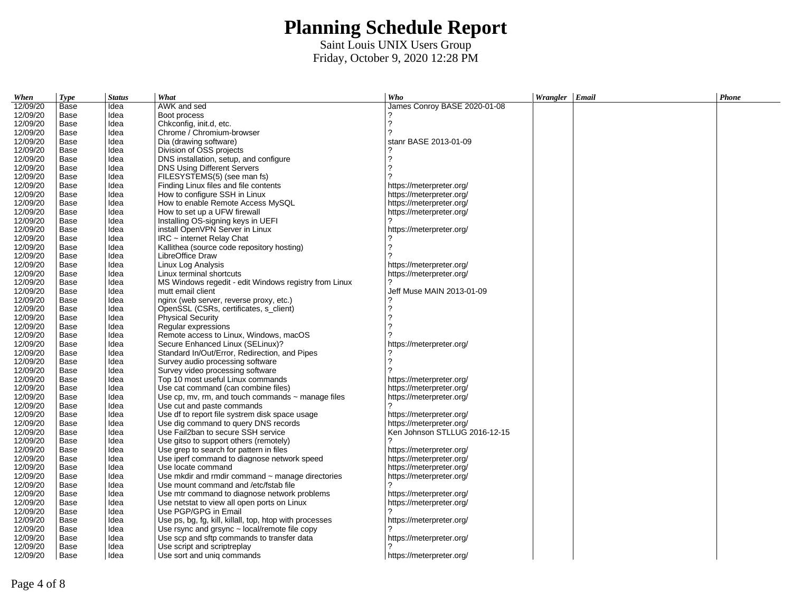| When     | <b>Type</b> | <b>Status</b> | What                                                    | Who                           | Wrangler   Email | Phone |
|----------|-------------|---------------|---------------------------------------------------------|-------------------------------|------------------|-------|
| 12/09/20 | Base        | Idea          | AWK and sed                                             | James Conroy BASE 2020-01-08  |                  |       |
| 12/09/20 | Base        | Idea          | Boot process                                            | ?                             |                  |       |
| 12/09/20 | Base        | Idea          | Chkconfig, init.d, etc.                                 | $\overline{?}$                |                  |       |
| 12/09/20 | Base        | Idea          | Chrome / Chromium-browser                               | ?                             |                  |       |
| 12/09/20 | Base        | Idea          | Dia (drawing software)                                  | stanr BASE 2013-01-09         |                  |       |
| 12/09/20 | Base        | Idea          | Division of OSS projects                                |                               |                  |       |
| 12/09/20 | Base        | Idea          | DNS installation, setup, and configure                  | $\overline{?}$                |                  |       |
| 12/09/20 | Base        | Idea          | DNS Using Different Servers                             | 2                             |                  |       |
| 12/09/20 | Base        | Idea          | FILESYSTEMS(5) (see man fs)                             |                               |                  |       |
| 12/09/20 | Base        | Idea          | Finding Linux files and file contents                   | https://meterpreter.org/      |                  |       |
| 12/09/20 | Base        | Idea          | How to configure SSH in Linux                           | https://meterpreter.org/      |                  |       |
| 12/09/20 | Base        | Idea          | How to enable Remote Access MySOL                       | https://meterpreter.org/      |                  |       |
| 12/09/20 | Base        | Idea          | How to set up a UFW firewall                            | https://meterpreter.org/      |                  |       |
| 12/09/20 | Base        | Idea          | Installing OS-signing keys in UEFI                      | 2                             |                  |       |
| 12/09/20 | Base        | Idea          | install OpenVPN Server in Linux                         | https://meterpreter.org/      |                  |       |
| 12/09/20 | Base        | Idea          | $IRC$ ~ internet Relay Chat                             |                               |                  |       |
| 12/09/20 | Base        | Idea          | Kallithea (source code repository hosting)              | $\overline{?}$                |                  |       |
| 12/09/20 | Base        | Idea          | LibreOffice Draw                                        |                               |                  |       |
| 12/09/20 | Base        | Idea          | Linux Log Analysis                                      | https://meterpreter.org/      |                  |       |
| 12/09/20 | Base        | Idea          | Linux terminal shortcuts                                | https://meterpreter.org/      |                  |       |
| 12/09/20 | Base        | Idea          | MS Windows regedit - edit Windows registry from Linux   | 2                             |                  |       |
| 12/09/20 | Base        | Idea          | mutt email client                                       | Jeff Muse MAIN 2013-01-09     |                  |       |
| 12/09/20 | Base        | Idea          | nginx (web server, reverse proxy, etc.)                 | 2                             |                  |       |
| 12/09/20 | Base        | Idea          | OpenSSL (CSRs, certificates, s client)                  | $\overline{?}$                |                  |       |
| 12/09/20 | Base        | Idea          | <b>Physical Security</b>                                | 2                             |                  |       |
| 12/09/20 | Base        | Idea          | Regular expressions                                     |                               |                  |       |
| 12/09/20 | Base        | Idea          | Remote access to Linux, Windows, macOS                  |                               |                  |       |
| 12/09/20 | Base        | Idea          | Secure Enhanced Linux (SELinux)?                        | https://meterpreter.org/      |                  |       |
| 12/09/20 | Base        | Idea          | Standard In/Out/Error, Redirection, and Pipes           |                               |                  |       |
| 12/09/20 | Base        | Idea          | Survey audio processing software                        | 2                             |                  |       |
|          |             |               |                                                         |                               |                  |       |
| 12/09/20 | Base        | Idea          | Survey video processing software                        |                               |                  |       |
| 12/09/20 | Base        | Idea          | Top 10 most useful Linux commands                       | https://meterpreter.org/      |                  |       |
| 12/09/20 | Base        | Idea          | Use cat command (can combine files)                     | https://meterpreter.org/      |                  |       |
| 12/09/20 | Base        | Idea          | Use cp, mv, rm, and touch commands $\sim$ manage files  | https://meterpreter.org/      |                  |       |
| 12/09/20 | Base        | Idea          | Use cut and paste commands                              |                               |                  |       |
| 12/09/20 | Base        | Idea          | Use df to report file systrem disk space usage          | https://meterpreter.org/      |                  |       |
| 12/09/20 | Base        | Idea          | Use dig command to query DNS records                    | https://meterpreter.org/      |                  |       |
| 12/09/20 | Base        | Idea          | Use Fail2ban to secure SSH service                      | Ken Johnson STLLUG 2016-12-15 |                  |       |
| 12/09/20 | Base        | Idea          | Use gitso to support others (remotely)                  |                               |                  |       |
| 12/09/20 | Base        | Idea          | Use grep to search for pattern in files                 | https://meterpreter.org/      |                  |       |
| 12/09/20 | Base        | Idea          | Use iperf command to diagnose network speed             | https://meterpreter.org/      |                  |       |
| 12/09/20 | Base        | Idea          | Use locate command                                      | https://meterpreter.org/      |                  |       |
| 12/09/20 | Base        | Idea          | Use mkdir and rmdir command $\sim$ manage directories   | https://meterpreter.org/      |                  |       |
| 12/09/20 | Base        | Idea          | Use mount command and /etc/fstab file                   | 2                             |                  |       |
| 12/09/20 | Base        | Idea          | Use mtr command to diagnose network problems            | https://meterpreter.org/      |                  |       |
| 12/09/20 | Base        | Idea          | Use netstat to view all open ports on Linux             | https://meterpreter.org/      |                  |       |
| 12/09/20 | Base        | Idea          | Use PGP/GPG in Email                                    |                               |                  |       |
| 12/09/20 | Base        | Idea          | Use ps, bg, fg, kill, killall, top, htop with processes | https://meterpreter.org/      |                  |       |
| 12/09/20 | Base        | Idea          | Use rsync and grsync $\sim$ local/remote file copy      |                               |                  |       |
| 12/09/20 | Base        | Idea          | Use scp and sftp commands to transfer data              | https://meterpreter.org/      |                  |       |
| 12/09/20 | Base        | Idea          | Use script and scriptreplay                             |                               |                  |       |
| 12/09/20 | Base        | Idea          | Use sort and unig commands                              | https://meterpreter.org/      |                  |       |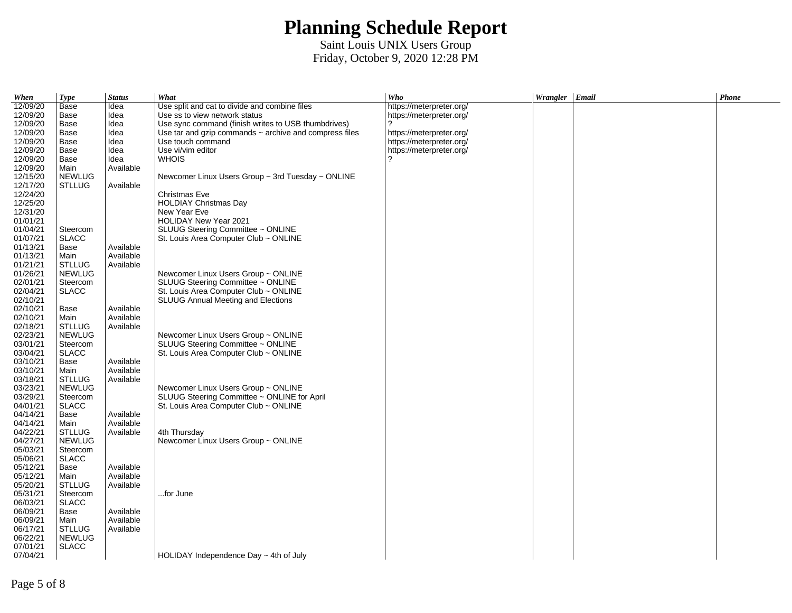| When                 | <b>Type</b>           | <b>Status</b> | What                                                        | Who                      | Wrangler Email | Phone |
|----------------------|-----------------------|---------------|-------------------------------------------------------------|--------------------------|----------------|-------|
| 12/09/20             | Base                  | Idea          | Use split and cat to divide and combine files               | https://meterpreter.org/ |                |       |
| 12/09/20             | Base                  | Idea          | Use ss to view network status                               | https://meterpreter.org/ |                |       |
| 12/09/20             | Base                  | Idea          | Use sync command (finish writes to USB thumbdrives)         | ?                        |                |       |
| 12/09/20             | Base                  | Idea          | Use tar and gzip commands $\sim$ archive and compress files | https://meterpreter.org/ |                |       |
| 12/09/20             | Base                  | Idea          | Use touch command                                           | https://meterpreter.org/ |                |       |
| 12/09/20             | Base                  | Idea          | Use vi/vim editor                                           | https://meterpreter.org/ |                |       |
| 12/09/20             | Base                  | Idea          | <b>WHOIS</b>                                                | 2                        |                |       |
| 12/09/20             | Main                  | Available     |                                                             |                          |                |       |
| 12/15/20             | <b>NEWLUG</b>         |               | Newcomer Linux Users Group $\sim$ 3rd Tuesday $\sim$ ONLINE |                          |                |       |
| 12/17/20             | STLLUG                | Available     |                                                             |                          |                |       |
| 12/24/20             |                       |               | Christmas Eve                                               |                          |                |       |
| 12/25/20             |                       |               | <b>HOLDIAY Christmas Day</b>                                |                          |                |       |
| 12/31/20             |                       |               | New Year Eve                                                |                          |                |       |
| 01/01/21             |                       |               | HOLIDAY New Year 2021                                       |                          |                |       |
| 01/04/21             | Steercom              |               | SLUUG Steering Committee ~ ONLINE                           |                          |                |       |
| 01/07/21             | <b>SLACC</b>          |               | St. Louis Area Computer Club $\sim$ ONLINE                  |                          |                |       |
| 01/13/21             | Base                  | Available     |                                                             |                          |                |       |
| 01/13/21             | Main                  | Available     |                                                             |                          |                |       |
| 01/21/21             | <b>STLLUG</b>         | Available     |                                                             |                          |                |       |
| 01/26/21             | <b>NEWLUG</b>         |               | Newcomer Linux Users Group ~ ONLINE                         |                          |                |       |
| 02/01/21             | Steercom              |               | SLUUG Steering Committee ~ ONLINE                           |                          |                |       |
| 02/04/21             | SLACC                 |               | St. Louis Area Computer Club $\sim$ ONLINE                  |                          |                |       |
| 02/10/21             |                       |               | <b>SLUUG Annual Meeting and Elections</b>                   |                          |                |       |
| 02/10/21             | Base                  | Available     |                                                             |                          |                |       |
| 02/10/21             | Main                  | Available     |                                                             |                          |                |       |
| 02/18/21             | <b>STLLUG</b>         | Available     |                                                             |                          |                |       |
| 02/23/21             | <b>NEWLUG</b>         |               | Newcomer Linux Users Group ~ ONLINE                         |                          |                |       |
| 03/01/21             | Steercom              |               | SLUUG Steering Committee ~ ONLINE                           |                          |                |       |
| 03/04/21             | <b>SLACC</b>          |               | St. Louis Area Computer Club ~ ONLINE                       |                          |                |       |
| 03/10/21             | Base                  | Available     |                                                             |                          |                |       |
| 03/10/21             | Main                  | Available     |                                                             |                          |                |       |
| 03/18/21             | <b>STLLUG</b>         | Available     |                                                             |                          |                |       |
| 03/23/21             | <b>NEWLUG</b>         |               | Newcomer Linux Users Group ~ ONLINE                         |                          |                |       |
| 03/29/21             | Steercom              |               | SLUUG Steering Committee ~ ONLINE for April                 |                          |                |       |
| 04/01/21             | <b>SLACC</b>          |               | St. Louis Area Computer Club $\sim$ ONLINE                  |                          |                |       |
| 04/14/21             | Base                  | Available     |                                                             |                          |                |       |
| 04/14/21             | Main                  | Available     |                                                             |                          |                |       |
| 04/22/21             | STLLUG                | Available     | 4th Thursday                                                |                          |                |       |
| 04/27/21             | <b>NEWLUG</b>         |               | Newcomer Linux Users Group ~ ONLINE                         |                          |                |       |
| 05/03/21             | Steercom              |               |                                                             |                          |                |       |
| 05/06/21             | <b>SLACC</b>          |               |                                                             |                          |                |       |
| 05/12/21             | Base                  | Available     |                                                             |                          |                |       |
| 05/12/21             | Main                  | Available     |                                                             |                          |                |       |
| 05/20/21             | <b>STLLUG</b>         | Available     |                                                             |                          |                |       |
| 05/31/21             | Steercom              |               | for June                                                    |                          |                |       |
| 06/03/21             | <b>SLACC</b>          |               |                                                             |                          |                |       |
| 06/09/21             | Base                  | Available     |                                                             |                          |                |       |
| 06/09/21             |                       | Available     |                                                             |                          |                |       |
|                      | Main<br><b>STLLUG</b> | Available     |                                                             |                          |                |       |
| 06/17/21<br>06/22/21 | <b>NEWLUG</b>         |               |                                                             |                          |                |       |
| 07/01/21             | <b>SLACC</b>          |               |                                                             |                          |                |       |
|                      |                       |               |                                                             |                          |                |       |
| 07/04/21             |                       |               | HOLIDAY Independence Day $\sim$ 4th of July                 |                          |                |       |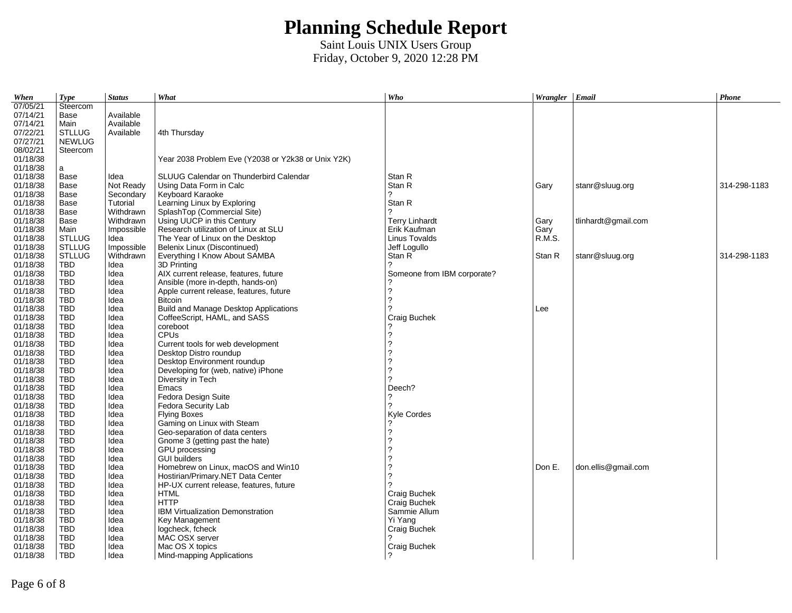| When     | <b>Type</b>   | <b>Status</b> | What                                               | Who                         | Wrangler Email |                     | <b>Phone</b> |
|----------|---------------|---------------|----------------------------------------------------|-----------------------------|----------------|---------------------|--------------|
| 07/05/21 | Steercom      |               |                                                    |                             |                |                     |              |
| 07/14/21 | Base          | Available     |                                                    |                             |                |                     |              |
| 07/14/21 | Main          | Available     |                                                    |                             |                |                     |              |
| 07/22/21 | <b>STLLUG</b> | Available     | 4th Thursday                                       |                             |                |                     |              |
| 07/27/21 | <b>NEWLUG</b> |               |                                                    |                             |                |                     |              |
| 08/02/21 | Steercom      |               |                                                    |                             |                |                     |              |
| 01/18/38 |               |               | Year 2038 Problem Eve (Y2038 or Y2k38 or Unix Y2K) |                             |                |                     |              |
| 01/18/38 | a             |               |                                                    |                             |                |                     |              |
| 01/18/38 | Base          | Idea          | SLUUG Calendar on Thunderbird Calendar             | Stan R                      |                |                     |              |
| 01/18/38 | Base          | Not Ready     | Using Data Form in Calc                            | Stan R                      | Gary           | stanr@sluug.org     | 314-298-1183 |
| 01/18/38 | Base          | Secondary     | Keyboard Karaoke                                   | 2                           |                |                     |              |
| 01/18/38 | Base          | Tutorial      | Learning Linux by Exploring                        | Stan R                      |                |                     |              |
| 01/18/38 | Base          | Withdrawn     | SplashTop (Commercial Site)                        | 2                           |                |                     |              |
| 01/18/38 | Base          | Withdrawn     | Using UUCP in this Century                         | <b>Terry Linhardt</b>       | Gary           | tlinhardt@gmail.com |              |
| 01/18/38 | Main          | Impossible    | Research utilization of Linux at SLU               | Erik Kaufman                | Gary           |                     |              |
| 01/18/38 | <b>STLLUG</b> | Idea          | The Year of Linux on the Desktop                   | Linus Tovalds               | R.M.S.         |                     |              |
| 01/18/38 | <b>STLLUG</b> | Impossible    | Belenix Linux (Discontinued)                       | Jeff Logullo                |                |                     |              |
| 01/18/38 | <b>STLLUG</b> | Withdrawn     | Everything I Know About SAMBA                      | Stan R                      | Stan R         | stanr@sluug.org     | 314-298-1183 |
| 01/18/38 | <b>TBD</b>    | Idea          | 3D Printing                                        |                             |                |                     |              |
| 01/18/38 | <b>TBD</b>    | Idea          | AIX current release, features, future              | Someone from IBM corporate? |                |                     |              |
| 01/18/38 | TBD           | Idea          | Ansible (more in-depth, hands-on)                  |                             |                |                     |              |
| 01/18/38 | TBD           | Idea          | Apple current release, features, future            | $\ddot{\phantom{0}}$        |                |                     |              |
| 01/18/38 | TBD           | Idea          | <b>Bitcoin</b>                                     | $\overline{?}$              |                |                     |              |
| 01/18/38 | TBD           | Idea          | Build and Manage Desktop Applications              | 2                           | Lee            |                     |              |
| 01/18/38 | <b>TBD</b>    | Idea          | CoffeeScript, HAML, and SASS                       | Craig Buchek                |                |                     |              |
| 01/18/38 | <b>TBD</b>    | Idea          | coreboot                                           |                             |                |                     |              |
| 01/18/38 | <b>TBD</b>    | Idea          | <b>CPUs</b>                                        | $\overline{\phantom{0}}$    |                |                     |              |
| 01/18/38 | <b>TBD</b>    | Idea          | Current tools for web development                  | $\overline{2}$              |                |                     |              |
| 01/18/38 | TBD           | Idea          | Desktop Distro roundup                             | $\overline{\mathbf{c}}$     |                |                     |              |
| 01/18/38 | <b>TBD</b>    | Idea          | Desktop Environment roundup                        | $\overline{\phantom{a}}$    |                |                     |              |
| 01/18/38 | <b>TBD</b>    | Idea          | Developing for (web, native) iPhone                | $\overline{\phantom{0}}$    |                |                     |              |
| 01/18/38 | <b>TBD</b>    | Idea          | Diversity in Tech                                  | 2                           |                |                     |              |
| 01/18/38 | <b>TBD</b>    | Idea          | Emacs                                              | Deech?                      |                |                     |              |
| 01/18/38 | TBD           | Idea          | Fedora Design Suite                                | 2                           |                |                     |              |
| 01/18/38 | TBD           | Idea          | Fedora Security Lab                                | ?                           |                |                     |              |
| 01/18/38 | <b>TBD</b>    | Idea          | <b>Flying Boxes</b>                                | Kyle Cordes                 |                |                     |              |
| 01/18/38 | <b>TBD</b>    | Idea          | Gaming on Linux with Steam                         |                             |                |                     |              |
| 01/18/38 | <b>TBD</b>    | Idea          | Geo-separation of data centers                     | $\ddot{\phantom{0}}$        |                |                     |              |
| 01/18/38 | <b>TBD</b>    | Idea          | Gnome 3 (getting past the hate)                    | $\overline{\phantom{0}}$    |                |                     |              |
| 01/18/38 | <b>TBD</b>    | Idea          | GPU processing                                     | $\overline{\mathbf{c}}$     |                |                     |              |
| 01/18/38 | <b>TBD</b>    | Idea          | <b>GUI builders</b>                                | $\overline{\phantom{a}}$    |                |                     |              |
| 01/18/38 | <b>TBD</b>    | Idea          | Homebrew on Linux, macOS and Win10                 | $\overline{\phantom{a}}$    | Don E.         | don.ellis@gmail.com |              |
| 01/18/38 | <b>TBD</b>    | Idea          | Hostirian/Primary.NET Data Center                  | $\overline{?}$              |                |                     |              |
| 01/18/38 | <b>TBD</b>    | Idea          | HP-UX current release, features, future            | 2                           |                |                     |              |
| 01/18/38 | TBD           | Idea          | <b>HTML</b>                                        | Craig Buchek                |                |                     |              |
| 01/18/38 | TBD           | Idea          | <b>HTTP</b>                                        | Craig Buchek                |                |                     |              |
| 01/18/38 | <b>TBD</b>    | Idea          | IBM Virtualization Demonstration                   | Sammie Allum                |                |                     |              |
| 01/18/38 | TBD           | Idea          | Key Management                                     | Yi Yang                     |                |                     |              |
| 01/18/38 | TBD           | Idea          | logcheck, fcheck                                   | Craig Buchek                |                |                     |              |
| 01/18/38 | <b>TBD</b>    | Idea          | MAC OSX server                                     |                             |                |                     |              |
| 01/18/38 | <b>TBD</b>    | Idea          | Mac OS X topics                                    | Craig Buchek                |                |                     |              |
| 01/18/38 | <b>TBD</b>    | Idea          | Mind-mapping Applications                          | 2                           |                |                     |              |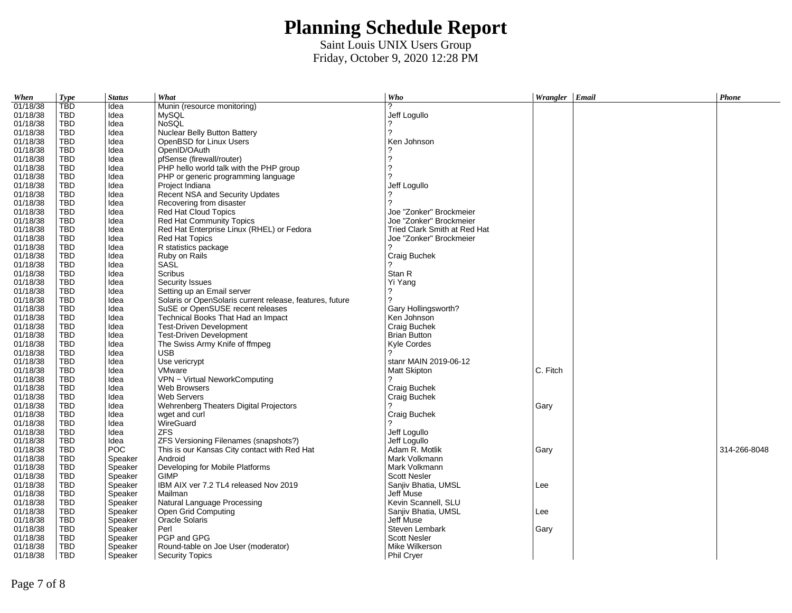| When     | <b>Type</b> | <b>Status</b> | What                                                     | Who                          | Wrangler Email | Phone        |
|----------|-------------|---------------|----------------------------------------------------------|------------------------------|----------------|--------------|
| 01/18/38 | <b>TBD</b>  | Idea          | Munin (resource monitoring)                              | っ                            |                |              |
| 01/18/38 | <b>TBD</b>  | Idea          | <b>MySQL</b>                                             | Jeff Logullo                 |                |              |
| 01/18/38 | <b>TBD</b>  | Idea          | <b>NoSOL</b>                                             |                              |                |              |
| 01/18/38 | TBD         | Idea          | Nuclear Belly Button Battery                             | 2                            |                |              |
| 01/18/38 | <b>TBD</b>  | Idea          | OpenBSD for Linux Users                                  | Ken Johnson                  |                |              |
| 01/18/38 | <b>TBD</b>  | Idea          | OpenID/OAuth                                             |                              |                |              |
| 01/18/38 | TBD         | Idea          | pfSense (firewall/router)                                | $\overline{\phantom{a}}$     |                |              |
| 01/18/38 | <b>TBD</b>  | Idea          | PHP hello world talk with the PHP group                  | $\overline{?}$               |                |              |
| 01/18/38 | TBD         | Idea          | PHP or generic programming language                      | 2                            |                |              |
| 01/18/38 | <b>TBD</b>  | Idea          | Project Indiana                                          | Jeff Logullo                 |                |              |
| 01/18/38 | TBD         | Idea          | Recent NSA and Security Updates                          |                              |                |              |
| 01/18/38 | TBD         | Idea          | Recovering from disaster                                 | っ                            |                |              |
| 01/18/38 | <b>TBD</b>  | Idea          | Red Hat Cloud Topics                                     | Joe "Zonker" Brockmeier      |                |              |
| 01/18/38 | TBD         | Idea          | Red Hat Community Topics                                 | Joe "Zonker" Brockmeier      |                |              |
| 01/18/38 | TBD         | Idea          | Red Hat Enterprise Linux (RHEL) or Fedora                | Tried Clark Smith at Red Hat |                |              |
| 01/18/38 | <b>TBD</b>  | Idea          | <b>Red Hat Topics</b>                                    | Joe "Zonker" Brockmeier      |                |              |
| 01/18/38 | <b>TBD</b>  | Idea          | R statistics package                                     | 2                            |                |              |
| 01/18/38 | TBD         | Idea          | Ruby on Rails                                            | Craig Buchek                 |                |              |
| 01/18/38 | <b>TBD</b>  | Idea          | <b>SASL</b>                                              |                              |                |              |
| 01/18/38 | <b>TBD</b>  | Idea          | Scribus                                                  | Stan R                       |                |              |
| 01/18/38 | <b>TBD</b>  | Idea          | Security Issues                                          | Yi Yang                      |                |              |
| 01/18/38 | TBD         | Idea          | Setting up an Email server                               | ?                            |                |              |
| 01/18/38 | TBD         | Idea          | Solaris or OpenSolaris current release, features, future | 2                            |                |              |
| 01/18/38 | <b>TBD</b>  | Idea          | SuSE or OpenSUSE recent releases                         | Gary Hollingsworth?          |                |              |
| 01/18/38 | TBD         | Idea          | Technical Books That Had an Impact                       | Ken Johnson                  |                |              |
| 01/18/38 | <b>TBD</b>  | Idea          | <b>Test-Driven Development</b>                           | Craig Buchek                 |                |              |
| 01/18/38 | <b>TBD</b>  | Idea          | <b>Test-Driven Development</b>                           | <b>Brian Button</b>          |                |              |
| 01/18/38 | TBD         | Idea          | The Swiss Army Knife of ffmpeg                           | Kyle Cordes                  |                |              |
| 01/18/38 | TBD         | Idea          | <b>USB</b>                                               | 2                            |                |              |
| 01/18/38 | TBD         | Idea          | Use vericrypt                                            | stanr MAIN 2019-06-12        |                |              |
| 01/18/38 | TBD         | Idea          | VMware                                                   | Matt Skipton                 | C. Fitch       |              |
| 01/18/38 | <b>TBD</b>  | Idea          | VPN ~ Virtual NeworkComputing                            |                              |                |              |
| 01/18/38 | <b>TBD</b>  | Idea          | <b>Web Browsers</b>                                      | Craig Buchek                 |                |              |
| 01/18/38 | TBD         | Idea          | Web Servers                                              | Craig Buchek                 |                |              |
| 01/18/38 | <b>TBD</b>  | Idea          | Wehrenberg Theaters Digital Projectors                   | っ                            | Gary           |              |
| 01/18/38 | TBD         | Idea          | wget and curl                                            | Craig Buchek                 |                |              |
| 01/18/38 | <b>TBD</b>  | Idea          | WireGuard                                                |                              |                |              |
| 01/18/38 | <b>TBD</b>  | Idea          | <b>ZFS</b>                                               | Jeff Logullo                 |                |              |
| 01/18/38 | <b>TBD</b>  | Idea          | ZFS Versioning Filenames (snapshots?)                    | Jeff Logullo                 |                |              |
| 01/18/38 | <b>TBD</b>  | <b>POC</b>    | This is our Kansas City contact with Red Hat             | Adam R. Motlik               | Gary           | 314-266-8048 |
| 01/18/38 | TBD         | Speaker       | Android                                                  | Mark Volkmann                |                |              |
| 01/18/38 | <b>TBD</b>  | Speaker       | Developing for Mobile Platforms                          | Mark Volkmann                |                |              |
| 01/18/38 | TBD         | Speaker       | <b>GIMP</b>                                              | <b>Scott Nesler</b>          |                |              |
| 01/18/38 | TBD         | Speaker       | IBM AIX ver 7.2 TL4 released Nov 2019                    | Sanjiv Bhatia, UMSL          | Lee            |              |
| 01/18/38 | TBD         | Speaker       | Mailman                                                  | Jeff Muse                    |                |              |
| 01/18/38 | TBD         | Speaker       | Natural Language Processing                              | Kevin Scannell, SLU          |                |              |
| 01/18/38 | TBD         | Speaker       | Open Grid Computing                                      | Sanjiv Bhatia, UMSL          | Lee            |              |
| 01/18/38 | TBD         | Speaker       | Oracle Solaris                                           | Jeff Muse                    |                |              |
| 01/18/38 | <b>TBD</b>  | Speaker       | Perl                                                     | Steven Lembark               | Gary           |              |
| 01/18/38 | <b>TBD</b>  | Speaker       | PGP and GPG                                              | <b>Scott Nesler</b>          |                |              |
| 01/18/38 | <b>TBD</b>  | Speaker       | Round-table on Joe User (moderator)                      | Mike Wilkerson               |                |              |
| 01/18/38 | <b>TBD</b>  | Speaker       | <b>Security Topics</b>                                   | <b>Phil Cryer</b>            |                |              |